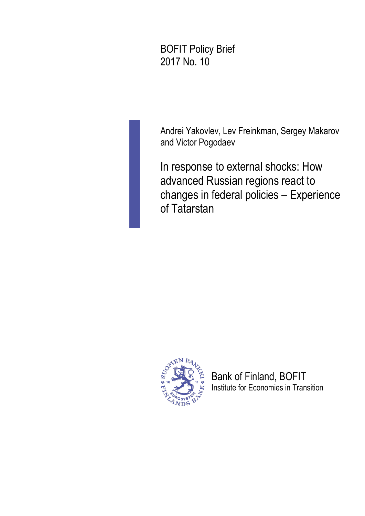BOFIT Policy Brief 2017 No. 10

Andrei Yakovlev, Lev Freinkman, Sergey Makarov and Victor Pogodaev

In response to external shocks: How advanced Russian regions react to changes in federal policies – Experience of Tatarstan



Bank of Finland, BOFIT Institute for Economies in Transition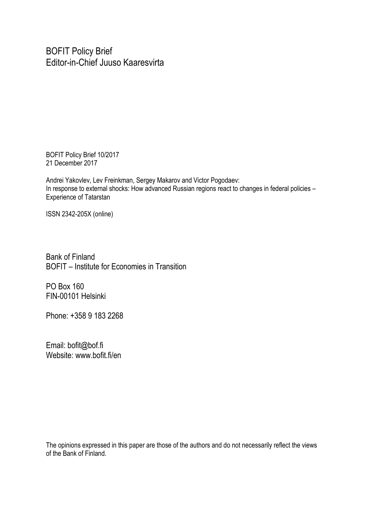BOFIT Policy Brief Editor-in-Chief Juuso Kaaresvirta

BOFIT Policy Brief 10/2017 21 December 2017

Andrei Yakovlev, Lev Freinkman, Sergey Makarov and Victor Pogodaev: In response to external shocks: How advanced Russian regions react to changes in federal policies – Experience of Tatarstan

ISSN 2342-205X (online)

Bank of Finland BOFIT – Institute for Economies in Transition

PO Box 160 FIN-00101 Helsinki

Phone: +358 9 183 2268

Email: bofit@bof.fi Website: www.bofit.fi/en

The opinions expressed in this paper are those of the authors and do not necessarily reflect the views of the Bank of Finland.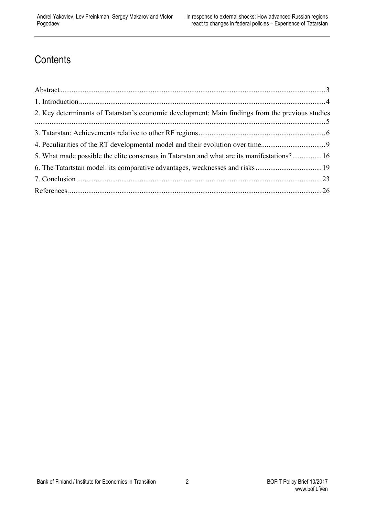# **Contents**

| 2. Key determinants of Tatarstan's economic development: Main findings from the previous studies |  |
|--------------------------------------------------------------------------------------------------|--|
|                                                                                                  |  |
| 4. Peculiarities of the RT developmental model and their evolution over time                     |  |
| 5. What made possible the elite consensus in Tatarstan and what are its manifestations? 16       |  |
|                                                                                                  |  |
|                                                                                                  |  |
|                                                                                                  |  |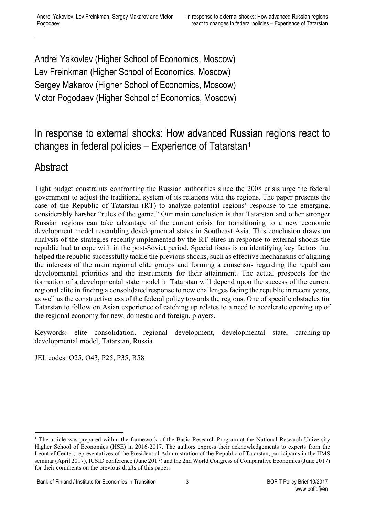Andrei Yakovlev (Higher School of Economics, Moscow) Lev Freinkman (Higher School of Economics, Moscow) Sergey Makarov (Higher School of Economics, Moscow) Victor Pogodaev (Higher School of Economics, Moscow)

### In response to external shocks: How advanced Russian regions react to changes in federal policies – Experience of Tatarstan[1](#page-3-1)

### <span id="page-3-0"></span>Abstract

Tight budget constraints confronting the Russian authorities since the 2008 crisis urge the federal government to adjust the traditional system of its relations with the regions. The paper presents the case of the Republic of Tatarstan (RT) to analyze potential regions' response to the emerging, considerably harsher "rules of the game." Our main conclusion is that Tatarstan and other stronger Russian regions can take advantage of the current crisis for transitioning to a new economic development model resembling developmental states in Southeast Asia. This conclusion draws on analysis of the strategies recently implemented by the RT elites in response to external shocks the republic had to cope with in the post-Soviet period. Special focus is on identifying key factors that helped the republic successfully tackle the previous shocks, such as effective mechanisms of aligning the interests of the main regional elite groups and forming a consensus regarding the republican developmental priorities and the instruments for their attainment. The actual prospects for the formation of a developmental state model in Tatarstan will depend upon the success of the current regional elite in finding a consolidated response to new challenges facing the republic in recent years, as well as the constructiveness of the federal policy towards the regions. One of specific obstacles for Tatarstan to follow on Asian experience of catching up relates to a need to accelerate opening up of the regional economy for new, domestic and foreign, players.

Keywords: elite consolidation, regional development, developmental state, catching-up developmental model, Tatarstan, Russia

JEL codes: O25, O43, P25, P35, R58

<span id="page-3-1"></span><sup>&</sup>lt;sup>1</sup> The article was prepared within the framework of the Basic Research Program at the National Research University Higher School of Economics (HSE) in 2016-2017. The authors express their acknowledgements to experts from the Leontief Center, representatives of the Presidential Administration of the Republic of Tatarstan, participants in the IIMS seminar (April 2017), ICSID conference (June 2017) and the 2nd World Congress of Comparative Economics (June 2017) for their comments on the previous drafts of this paper.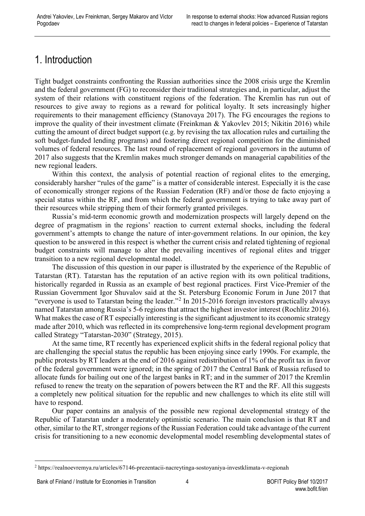### <span id="page-4-0"></span>1. Introduction

Tight budget constraints confronting the Russian authorities since the 2008 crisis urge the Kremlin and the federal government (FG) to reconsider their traditional strategies and, in particular, adjust the system of their relations with constituent regions of the federation. The Kremlin has run out of resources to give away to regions as a reward for political loyalty. It sets increasingly higher requirements to their management efficiency (Stanovaya 2017). The FG encourages the regions to improve the quality of their investment climate (Freinkman & Yakovlev 2015; Nikitin 2016) while cutting the amount of direct budget support (e.g. by revising the tax allocation rules and curtailing the soft budget-funded lending programs) and fostering direct regional competition for the diminished volumes of federal resources. The last round of replacement of regional governors in the autumn of 2017 also suggests that the Kremlin makes much stronger demands on managerial capabilities of the new regional leaders.

Within this context, the analysis of potential reaction of regional elites to the emerging, considerably harsher "rules of the game" is a matter of considerable interest. Especially it is the case of economically stronger regions of the Russian Federation (RF) and/or those de facto enjoying a special status within the RF, and from which the federal government is trying to take away part of their resources while stripping them of their formerly granted privileges.

Russia's mid-term economic growth and modernization prospects will largely depend on the degree of pragmatism in the regions' reaction to current external shocks, including the federal government's attempts to change the nature of inter-government relations. In our opinion, the key question to be answered in this respect is whether the current crisis and related tightening of regional budget constraints will manage to alter the prevailing incentives of regional elites and trigger transition to a new regional developmental model.

The discussion of this question in our paper is illustrated by the experience of the Republic of Tatarstan (RT). Tatarstan has the reputation of an active region with its own political traditions, historically regarded in Russia as an example of best regional practices. First Vice-Premier of the Russian Government Igor Shuvalov said at the St. Petersburg Economic Forum in June 2017 that "everyone is used to Tatarstan being the leader."[2](#page-4-1) In 2015-2016 foreign investors practically always named Tatarstan among Russia's 5-6 regions that attract the highest investor interest (Rochlitz 2016). What makes the case of RT especially interesting is the significant adjustment to its economic strategy made after 2010, which was reflected in its comprehensive long-term regional development program called Strategy "Tatarstan-2030" (Strategy, 2015).

At the same time, RT recently has experienced explicit shifts in the federal regional policy that are challenging the special status the republic has been enjoying since early 1990s. For example, the public protests by RT leaders at the end of 2016 against redistribution of 1% of the profit tax in favor of the federal government were ignored; in the spring of 2017 the Central Bank of Russia refused to allocate funds for bailing out one of the largest banks in RT; and in the summer of 2017 the Kremlin refused to renew the treaty on the separation of powers between the RT and the RF. All this suggests a completely new political situation for the republic and new challenges to which its elite still will have to respond.

Our paper contains an analysis of the possible new regional developmental strategy of the Republic of Tatarstan under a moderately optimistic scenario. The main conclusion is that RT and other, similar to the RT, stronger regions of the Russian Federation could take advantage of the current crisis for transitioning to a new economic developmental model resembling developmental states of

<span id="page-4-1"></span> <sup>2</sup> <https://realnoevremya.ru/articles/67146-prezentacii-nacreytinga-sostoyaniya-investklimata-v-regionah>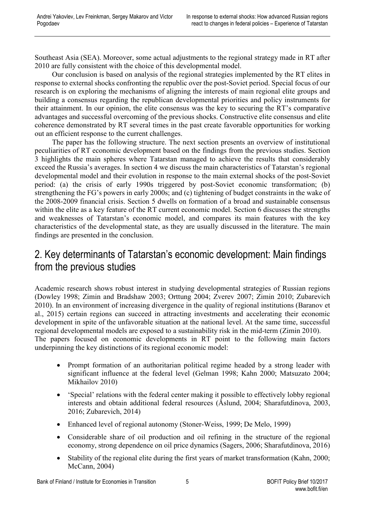Southeast Asia (SEA). Moreover, some actual adjustments to the regional strategy made in RT after 2010 are fully consistent with the choice of this developmental model.

Our conclusion is based on analysis of the regional strategies implemented by the RT elites in response to external shocks confronting the republic over the post-Soviet period. Special focus of our research is on exploring the mechanisms of aligning the interests of main regional elite groups and building a consensus regarding the republican developmental priorities and policy instruments for their attainment. In our opinion, the elite consensus was the key to securing the RT's comparative advantages and successful overcoming of the previous shocks. Constructive elite consensus and elite coherence demonstrated by RT several times in the past create favorable opportunities for working out an efficient response to the current challenges.

The paper has the following structure. The next section presents an overview of institutional peculiarities of RT economic development based on the findings from the previous studies. Section 3 highlights the main spheres where Tatarstan managed to achieve the results that considerably exceed the Russia's averages. In section 4 we discuss the main characteristics of Tatarstan's regional developmental model and their evolution in response to the main external shocks of the post-Soviet period: (a) the crisis of early 1990s triggered by post-Soviet economic transformation; (b) strengthening the FG's powers in early 2000s; and (c) tightening of budget constraints in the wake of the 2008-2009 financial crisis. Section 5 dwells on formation of a broad and sustainable consensus within the elite as a key feature of the RT current economic model. Section 6 discusses the strengths and weaknesses of Tatarstan's economic model, and compares its main features with the key characteristics of the developmental state, as they are usually discussed in the literature. The main findings are presented in the conclusion.

#### <span id="page-5-0"></span>2. Key determinants of Tatarstan's economic development: Main findings from the previous studies

Academic research shows robust interest in studying developmental strategies of Russian regions (Dowley 1998; Zimin and Bradshaw 2003; Orttung 2004; Zverev 2007; Zimin 2010; Zubarevich 2010). In an environment of increasing divergence in the quality of regional institutions (Baranov et al., 2015) certain regions can succeed in attracting investments and accelerating their economic development in spite of the unfavorable situation at the national level. At the same time, successful regional developmental models are exposed to a sustainability risk in the mid-term (Zimin 2010). The papers focused on economic developments in RT point to the following main factors underpinning the key distinctions of its regional economic model:

- Prompt formation of an authoritarian political regime headed by a strong leader with significant influence at the federal level (Gelman 1998; Kahn 2000; Matsuzato 2004; Mikhailov 2010)
- 'Special' relations with the federal center making it possible to effectively lobby regional interests and obtain additional federal resources (Åslund, 2004; Sharafutdinova, 2003, 2016; Zubarevich, 2014)
- Enhanced level of regional autonomy (Stoner-Weiss, 1999; De Melo, 1999)
- Considerable share of oil production and oil refining in the structure of the regional economy, strong dependence on oil price dynamics (Sagers, 2006; Sharafutdinova, 2016)
- Stability of the regional elite during the first years of market transformation (Kahn, 2000; McCann, 2004)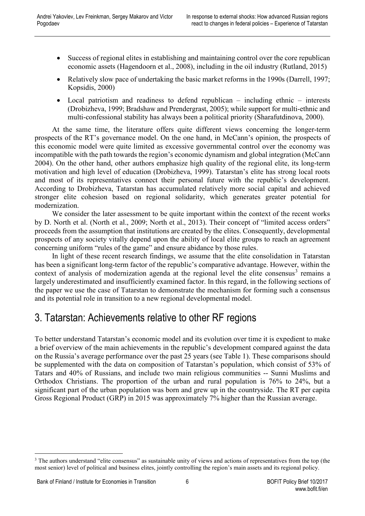- Success of regional elites in establishing and maintaining control over the core republican economic assets (Hagendoorn et al., 2008), including in the oil industry (Rutland, 2015)
- Relatively slow pace of undertaking the basic market reforms in the 1990s (Darrell, 1997; Kopsidis, 2000)
- Local patriotism and readiness to defend republican including ethnic interests (Drobizheva, 1999; Bradshaw and Prendergrast, 2005); while support for multi-ethnic and multi-confessional stability has always been a political priority (Sharafutdinova, 2000).

At the same time, the literature offers quite different views concerning the longer-term prospects of the RT's governance model. On the one hand, in McCann's opinion, the prospects of this economic model were quite limited as excessive governmental control over the economy was incompatible with the path towards the region's economic dynamism and global integration (McCann 2004). On the other hand, other authors emphasize high quality of the regional elite, its long-term motivation and high level of education (Drobizheva, 1999). Tatarstan's elite has strong local roots and most of its representatives connect their personal future with the republic's development. According to Drobizheva, Tatarstan has accumulated relatively more social capital and achieved stronger elite cohesion based on regional solidarity, which generates greater potential for modernization.

We consider the later assessment to be quite important within the context of the recent works by D. North et al. (North et al., 2009; North et al., 2013). Their concept of "limited access orders" proceeds from the assumption that institutions are created by the elites. Consequently, developmental prospects of any society vitally depend upon the ability of local elite groups to reach an agreement concerning uniform "rules of the game" and ensure abidance by those rules.

In light of these recent research findings, we assume that the elite consolidation in Tatarstan has been a significant long-term factor of the republic's comparative advantage. However, within the context of analysis of modernization agenda at the regional level the elite consensus $3$  remains a largely underestimated and insufficiently examined factor. In this regard, in the following sections of the paper we use the case of Tatarstan to demonstrate the mechanism for forming such a consensus and its potential role in transition to a new regional developmental model.

### <span id="page-6-0"></span>3. Tatarstan: Achievements relative to other RF regions

To better understand Tatarstan's economic model and its evolution over time it is expedient to make a brief overview of the main achievements in the republic's development compared against the data on the Russia's average performance over the past 25 years (see Table 1). These comparisons should be supplemented with the data on composition of Tatarstan's population, which consist of 53% of Tatars and 40% of Russians, and include two main religious communities -- Sunni Muslims and Orthodox Christians. The proportion of the urban and rural population is 76% to 24%, but a significant part of the urban population was born and grew up in the countryside. The RT per capita Gross Regional Product (GRP) in 2015 was approximately 7% higher than the Russian average.

<span id="page-6-1"></span><sup>&</sup>lt;sup>3</sup> The authors understand "elite consensus" as sustainable unity of views and actions of representatives from the top (the most senior) level of political and business elites, jointly controlling the region's main assets and its regional policy.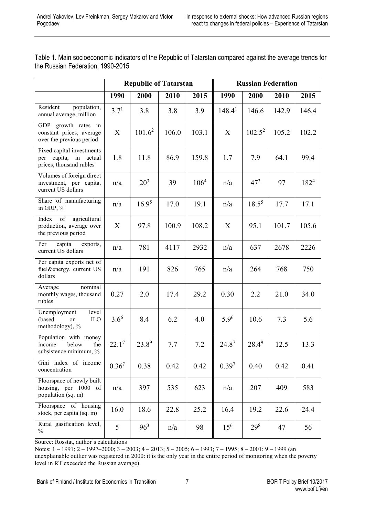|                                                                                  | <b>Republic of Tatarstan</b> |            |         | <b>Russian Federation</b> |                    |           |       |           |
|----------------------------------------------------------------------------------|------------------------------|------------|---------|---------------------------|--------------------|-----------|-------|-----------|
|                                                                                  | 1990                         | 2000       | 2010    | 2015                      | 1990               | 2000      | 2010  | 2015      |
| Resident<br>population,<br>annual average, million                               | $3.7^{1}$                    | 3.8        | 3.8     | 3.9                       | 148.4 <sup>1</sup> | 146.6     | 142.9 | 146.4     |
| GDP growth rates in<br>constant prices, average<br>over the previous period      | X                            | $101.6^2$  | 106.0   | 103.1                     | X                  | $102.5^2$ | 105.2 | 102.2     |
| Fixed capital investments<br>capita, in actual<br>per<br>prices, thousand rubles | 1.8                          | 11.8       | 86.9    | 159.8                     | 1.7                | 7.9       | 64.1  | 99.4      |
| Volumes of foreign direct<br>investment, per capita,<br>current US dollars       | n/a                          | $20^{3}$   | 39      | 106 <sup>4</sup>          | n/a                | $47^{3}$  | 97    | $182^{4}$ |
| Share of manufacturing<br>in GRP, %                                              | n/a                          | $16.9^5$   | 17.0    | 19.1                      | n/a                | $18.5^5$  | 17.7  | 17.1      |
| Index<br>of<br>agricultural<br>production, average over<br>the previous period   | X                            | 97.8       | 100.9   | 108.2                     | X                  | 95.1      | 101.7 | 105.6     |
| capita<br>Per<br>exports,<br>current US dollars                                  | n/a                          | 781        | 4117    | 2932                      | n/a                | 637       | 2678  | 2226      |
| Per capita exports net of<br>fuel&energy, current US<br>dollars                  | n/a                          | 191        | 826     | 765                       | n/a                | 264       | 768   | 750       |
| nominal<br>Average<br>monthly wages, thousand<br>rubles                          | 0.27                         | 2.0        | 17.4    | 29.2                      | 0.30               | 2.2       | 21.0  | 34.0      |
| Unemployment<br>level<br>(based)<br><b>ILO</b><br>on<br>methodology), %          | $3.6^{6}$                    | 8.4        | 6.2     | 4.0                       | $5.9^{6}$          | 10.6      | 7.3   | 5.6       |
| Population with money<br>income below<br>the<br>subsistence minimum, %           | $22.1^7$                     | $23.8^{9}$ | $7.7\,$ | $7.2\,$                   | $24.8^7$           | $28.4^9$  | 12.5  | 13.3      |
| Gini index of income<br>concentration                                            | $0.36^{7}$                   | 0.38       | 0.42    | 0.42                      | $0.39^{7}$         | 0.40      | 0.42  | 0.41      |
| Floorspace of newly built<br>housing, per 1000 of<br>population (sq. m)          | n/a                          | 397        | 535     | 623                       | n/a                | 207       | 409   | 583       |
| Floorspace of housing<br>stock, per capita (sq. m)                               | 16.0                         | 18.6       | 22.8    | 25.2                      | 16.4               | 19.2      | 22.6  | 24.4      |
| Rural gasification level,<br>$\frac{0}{0}$                                       | 5                            | $96^3$     | n/a     | 98                        | $15^{6}$           | $29^{8}$  | 47    | 56        |

Table 1. Main socioeconomic indicators of the Republic of Tatarstan compared against the average trends for the Russian Federation, 1990-2015

Source: Rosstat, author's calculations

Notes: 1 – 1991; 2 – 1997–2000; 3 – 2003; 4 – 2013; 5 – 2005; 6 – 1993; 7 – 1995; 8 – 2001; 9 – 1999 (an unexplainable outlier was registered in 2000: it is the only year in the entire period of monitoring when the poverty level in RT exceeded the Russian average).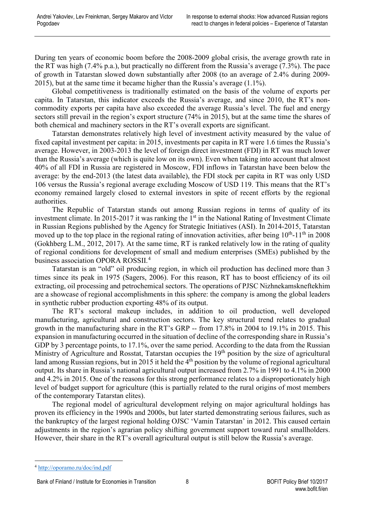During ten years of economic boom before the 2008-2009 global crisis, the average growth rate in the RT was high (7.4% p.a.), but practically no different from the Russia's average (7.3%). The pace of growth in Tatarstan slowed down substantially after 2008 (to an average of 2.4% during 2009- 2015), but at the same time it became higher than the Russia's average (1.1%).

Global competitiveness is traditionally estimated on the basis of the volume of exports per capita. In Tatarstan, this indicator exceeds the Russia's average, and since 2010, the RT's noncommodity exports per capita have also exceeded the average Russia's level. The fuel and energy sectors still prevail in the region's export structure (74% in 2015), but at the same time the shares of both chemical and machinery sectors in the RT's overall exports are significant.

Tatarstan demonstrates relatively high level of investment activity measured by the value of fixed capital investment per capita: in 2015, investments per capita in RT were 1.6 times the Russia's average. However, in 2003-2013 the level of foreign direct investment (FDI) in RT was much lower than the Russia's average (which is quite low on its own). Even when taking into account that almost 40% of all FDI in Russia are registered in Moscow, FDI inflows in Tatarstan have been below the average: by the end-2013 (the latest data available), the FDI stock per capita in RT was only USD 106 versus the Russia's regional average excluding Moscow of USD 119. This means that the RT's economy remained largely closed to external investors in spite of recent efforts by the regional authorities.

The Republic of Tatarstan stands out among Russian regions in terms of quality of its investment climate. In 2015-2017 it was ranking the 1<sup>st</sup> in the National Rating of Investment Climate in Russian Regions published by the Agency for Strategic Initiatives (ASI). In 2014-2015, Tatarstan moved up to the top place in the regional rating of innovation activities, after being  $10^{th}$ -11<sup>th</sup> in 2008 (Gokhberg L.M., 2012, 2017). At the same time, RT is ranked relatively low in the rating of quality of regional conditions for development of small and medium enterprises (SMEs) published by the business association OPORA ROSSII.[4](#page-8-0)

Tatarstan is an "old" oil producing region, in which oil production has declined more than 3 times since its peak in 1975 (Sagers, 2006). For this reason, RT has to boost efficiency of its oil extracting, oil processing and petrochemical sectors. The operations of PJSC Nizhnekamskneftekhim are a showcase of regional accomplishments in this sphere: the company is among the global leaders in synthetic rubber production exporting 48% of its output.

The RT's sectoral makeup includes, in addition to oil production, well developed manufacturing, agricultural and construction sectors. The key structural trend relates to gradual growth in the manufacturing share in the RT's GRP -- from 17.8% in 2004 to 19.1% in 2015. This expansion in manufacturing occurred in the situation of decline of the corresponding share in Russia's GDP by 3 percentage points, to 17.1%, over the same period. According to the data from the Russian Ministry of Agriculture and Rosstat, Tatarstan occupies the 19<sup>th</sup> position by the size of agricultural land among Russian regions, but in 2015 it held the  $4<sup>th</sup>$  position by the volume of regional agricultural output. Its share in Russia's national agricultural output increased from 2.7% in 1991 to 4.1% in 2000 and 4.2% in 2015. One of the reasons for this strong performance relates to a disproportionately high level of budget support for agriculture (this is partially related to the rural origins of most members of the contemporary Tatarstan elites).

The regional model of agricultural development relying on major agricultural holdings has proven its efficiency in the 1990s and 2000s, but later started demonstrating serious failures, such as the bankruptcy of the largest regional holding OJSC 'Vamin Tatarstan' in 2012. This caused certain adjustments in the region's agrarian policy shifting government support toward rural smallholders. However, their share in the RT's overall agricultural output is still below the Russia's average.

<span id="page-8-0"></span> <sup>4</sup> <http://oporamo.ru/doc/ind.pdf>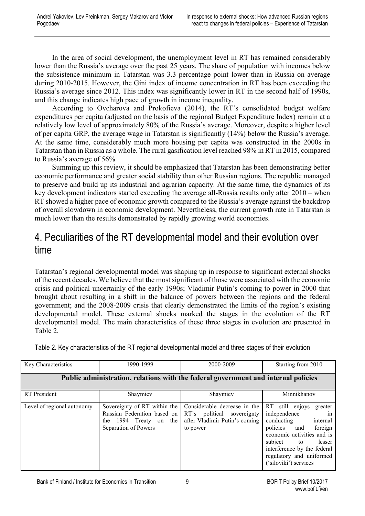In the area of social development, the unemployment level in RT has remained considerably lower than the Russia's average over the past 25 years. The share of population with incomes below the subsistence minimum in Tatarstan was 3.3 percentage point lower than in Russia on average during 2010-2015. However, the Gini index of income concentration in RT has been exceeding the Russia's average since 2012. This index was significantly lower in RT in the second half of 1990s, and this change indicates high pace of growth in income inequality.

According to Ovcharova and Prokofieva (2014), the RT's consolidated budget welfare expenditures per capita (adjusted on the basis of the regional Budget Expenditure Index) remain at a relatively low level of approximately 80% of the Russia's average. Moreover, despite a higher level of per capita GRP, the average wage in Tatarstan is significantly (14%) below the Russia's average. At the same time, considerably much more housing per capita was constructed in the 2000s in Tatarstan than in Russia as a whole. The rural gasification level reached 98% in RT in 2015, compared to Russia's average of 56%.

Summing up this review, it should be emphasized that Tatarstan has been demonstrating better economic performance and greater social stability than other Russian regions. The republic managed to preserve and build up its industrial and agrarian capacity. At the same time, the dynamics of its key development indicators started exceeding the average all-Russia results only after 2010 – when RT showed a higher pace of economic growth compared to the Russia's average against the backdrop of overall slowdown in economic development. Nevertheless, the current growth rate in Tatarstan is much lower than the results demonstrated by rapidly growing world economies.

#### <span id="page-9-0"></span>4. Peculiarities of the RT developmental model and their evolution over time

Tatarstan's regional developmental model was shaping up in response to significant external shocks of the recent decades. We believe that the most significant of those were associated with the economic crisis and political uncertainly of the early 1990s; Vladimir Putin's coming to power in 2000 that brought about resulting in a shift in the balance of powers between the regions and the federal government; and the 2008-2009 crisis that clearly demonstrated the limits of the region's existing developmental model. These external shocks marked the stages in the evolution of the RT developmental model. The main characteristics of these three stages in evolution are presented in Table 2.

Table 2. Key characteristics of the RT regional developmental model and three stages of their evolution

| Key Characteristics                                                                | 1990-1999                                                                                                        | 2000-2009                                                                                               | Starting from 2010                                                                                                                                                                                                                                     |  |  |  |  |
|------------------------------------------------------------------------------------|------------------------------------------------------------------------------------------------------------------|---------------------------------------------------------------------------------------------------------|--------------------------------------------------------------------------------------------------------------------------------------------------------------------------------------------------------------------------------------------------------|--|--|--|--|
| Public administration, relations with the federal government and internal policies |                                                                                                                  |                                                                                                         |                                                                                                                                                                                                                                                        |  |  |  |  |
| <b>RT</b> President                                                                | Shaymiev                                                                                                         | Shaymiev                                                                                                | Minnikhanov                                                                                                                                                                                                                                            |  |  |  |  |
| Level of regional autonomy                                                         | Sovereignty of RT within the<br>Russian Federation based on<br>1994 Treaty on the<br>the<br>Separation of Powers | Considerable decrease in the<br>RT's political sovereignty<br>after Vladimir Putin's coming<br>to power | RT still enjoys<br>greater<br>independence<br>$\sin$<br>conducting<br>internal<br>policies<br>foreign<br>and<br>economic activities and is<br>subject to<br>lesser<br>interference by the federal<br>regulatory and uniformed<br>('siloviki') services |  |  |  |  |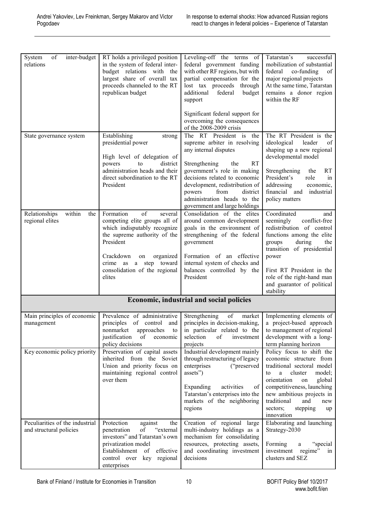| of<br>inter-budget<br>System<br>relations                  | RT holds a privileged position<br>in the system of federal inter-<br>budget relations with the<br>largest share of overall tax<br>proceeds channeled to the RT<br>republican budget                                                           | Leveling-off the terms of<br>federal government funding<br>with other RF regions, but with<br>partial compensation for the<br>lost tax proceeds through<br>additional<br>federal<br>budget<br>support                                                                                | Tatarstan's<br>successful<br>mobilization of substantial<br>federal<br>co-funding<br>of<br>major regional projects<br>At the same time, Tatarstan<br>remains a donor region<br>within the RF                                                                                          |  |  |  |
|------------------------------------------------------------|-----------------------------------------------------------------------------------------------------------------------------------------------------------------------------------------------------------------------------------------------|--------------------------------------------------------------------------------------------------------------------------------------------------------------------------------------------------------------------------------------------------------------------------------------|---------------------------------------------------------------------------------------------------------------------------------------------------------------------------------------------------------------------------------------------------------------------------------------|--|--|--|
|                                                            |                                                                                                                                                                                                                                               | Significant federal support for<br>overcoming the consequences<br>of the 2008-2009 crisis                                                                                                                                                                                            |                                                                                                                                                                                                                                                                                       |  |  |  |
| State governance system                                    | Establishing<br>strong<br>presidential power<br>High level of delegation of<br>district<br>powers<br>to<br>administration heads and their<br>direct subordination to the RT<br>President                                                      | The RT President is the<br>supreme arbiter in resolving<br>any internal disputes<br>Strengthening<br><b>RT</b><br>the<br>government's role in making<br>decisions related to economic<br>development, redistribution of<br>from<br>district<br>powers<br>administration heads to the | The RT President is the<br>ideological<br>leader<br>of<br>shaping up a new regional<br>developmental model<br><b>RT</b><br>Strengthening<br>the<br>President's<br>role<br>in<br>addressing<br>economic,<br>financial and<br>industrial<br>policy matters                              |  |  |  |
| within<br>Relationships<br>the<br>regional elites          | of<br>Formation<br>several<br>competing elite groups all of<br>which indisputably recognize<br>the supreme authority of the<br>President<br>Crackdown<br>organized<br>on<br>crime as a step toward<br>consolidation of the regional<br>elites | government and large holdings<br>Consolidation of the elites<br>around common development<br>goals in the environment of<br>strengthening of the federal<br>government<br>Formation of an effective<br>internal system of checks and<br>balances controlled by the<br>President      | Coordinated<br>and<br>conflict-free<br>seemingly<br>redistribution of control<br>functions among the elite<br>during<br>groups<br>the<br>transition of presidential<br>power<br>First RT President in the<br>role of the right-hand man<br>and guarantor of political<br>stability    |  |  |  |
|                                                            | <b>Economic, industrial and social policies</b>                                                                                                                                                                                               |                                                                                                                                                                                                                                                                                      |                                                                                                                                                                                                                                                                                       |  |  |  |
| Main principles of economic<br>management                  | Prevalence of administrative Strengthening<br>nonmarket<br>approaches<br>to<br>justification<br>of<br>economic<br>policy decisions                                                                                                            | of<br>market<br>principles of control and principles in decision-making, a project-based approach<br>in particular related to the<br>selection<br>of<br>investment<br>projects                                                                                                       | Implementing elements of<br>to management of regional<br>development with a long-<br>term planning horizon                                                                                                                                                                            |  |  |  |
| Key economic policy priority                               | Preservation of capital assets<br>inherited from the Soviet<br>Union and priority focus on<br>maintaining regional control<br>over them                                                                                                       | Industrial development mainly<br>through restructuring of legacy<br>enterprises<br>("preserved<br>assets")<br>activities<br>Expanding<br>of<br>Tatarstan's enterprises into the<br>markets of the neighboring<br>regions                                                             | Policy focus to shift the<br>economic structure from<br>traditional sectoral model<br>cluster<br>model;<br>a<br>to<br>orientation<br>global<br>on<br>competitiveness, launching<br>new ambitious projects in<br>traditional<br>and<br>new<br>sectors;<br>stepping<br>up<br>innovation |  |  |  |
| Peculiarities of the industrial<br>and structural policies | Protection<br>against<br>the<br>of<br>penetration<br>"external<br>investors" and Tatarstan's own<br>privatization model<br>Establishment<br>effective<br>of<br>control over key regional<br>enterprises                                       | Creation of regional large<br>multi-industry holdings as a<br>mechanism for consolidating<br>resources, protecting assets,<br>and coordinating investment<br>decisions                                                                                                               | Elaborating and launching<br>Strategy-2030<br>Forming<br>"special"<br>a<br>investment<br>regime"<br>1n<br>clusters and SEZ                                                                                                                                                            |  |  |  |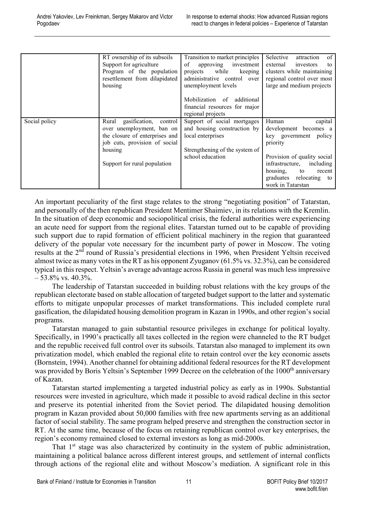|               | RT ownership of its subsoils   | Transition to market principles | Selective<br>of<br>attraction |
|---------------|--------------------------------|---------------------------------|-------------------------------|
|               | Support for agriculture        | of<br>approving<br>investment   | external<br>investors<br>to   |
|               | Program of the population      | while<br>keeping<br>projects    | clusters while maintaining    |
|               | resettlement from dilapidated  | administrative control over     | regional control over most    |
|               | housing                        | unemployment levels             | large and medium projects     |
|               |                                | Mobilization of additional      |                               |
|               |                                | financial resources for major   |                               |
|               |                                | regional projects               |                               |
| Social policy | Rural<br>gasification, control | Support of social mortgages     | capital<br>Human              |
|               | over unemployment, ban on      | and housing construction by     | development becomes a         |
|               | the closure of enterprises and | local enterprises               | key government policy         |
|               | job cuts, provision of social  |                                 | priority                      |
|               | housing                        | Strengthening of the system of  |                               |
|               |                                | school education                | Provision of quality social   |
|               | Support for rural population   |                                 | including<br>infrastructure,  |
|               |                                |                                 | housing,<br>to<br>recent      |
|               |                                |                                 | graduates relocating to       |
|               |                                |                                 | work in Tatarstan             |

An important peculiarity of the first stage relates to the strong "negotiating position" of Tatarstan, and personally of the then republican President Mentimer Shaimiev, in its relations with the Kremlin. In the situation of deep economic and sociopolitical crisis, the federal authorities were experiencing an acute need for support from the regional elites. Tatarstan turned out to be capable of providing such support due to rapid formation of efficient political machinery in the region that guaranteed delivery of the popular vote necessary for the incumbent party of power in Moscow. The voting results at the 2<sup>nd</sup> round of Russia's presidential elections in 1996, when President Yeltsin received almost twice as many votes in the RT as his opponent Zyuganov (61.5% vs. 32.3%), can be considered typical in this respect. Yeltsin's average advantage across Russia in general was much less impressive – 53.8% vs. 40.3%.

The leadership of Tatarstan succeeded in building robust relations with the key groups of the republican electorate based on stable allocation of targeted budget support to the latter and systematic efforts to mitigate unpopular processes of market transformations. This included complete rural gasification, the dilapidated housing demolition program in Kazan in 1990s, and other region's social programs.

Tatarstan managed to gain substantial resource privileges in exchange for political loyalty. Specifically, in 1990's practically all taxes collected in the region were channeled to the RT budget and the republic received full control over its subsoils. Tatarstan also managed to implement its own privatization model, which enabled the regional elite to retain control over the key economic assets (Bornstein, 1994). Another channel for obtaining additional federal resources for the RT development was provided by Boris Yeltsin's September 1999 Decree on the celebration of the 1000<sup>th</sup> anniversary of Kazan.

Tatarstan started implementing a targeted industrial policy as early as in 1990s. Substantial resources were invested in agriculture, which made it possible to avoid radical decline in this sector and preserve its potential inherited from the Soviet period. The dilapidated housing demolition program in Kazan provided about 50,000 families with free new apartments serving as an additional factor of social stability. The same program helped preserve and strengthen the construction sector in RT. At the same time, because of the focus on retaining republican control over key enterprises, the region's economy remained closed to external investors as long as mid-2000s.

That  $1<sup>st</sup>$  stage was also characterized by continuity in the system of public administration, maintaining a political balance across different interest groups, and settlement of internal conflicts through actions of the regional elite and without Moscow's mediation. A significant role in this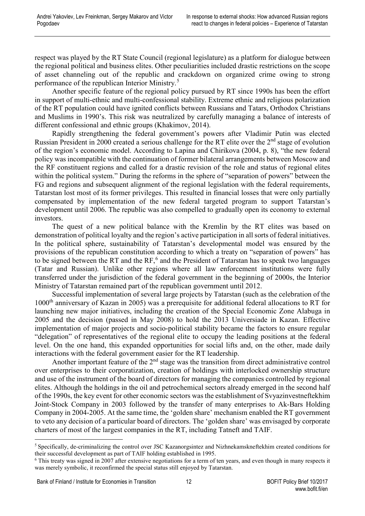respect was played by the RT State Council (regional legislature) as a platform for dialogue between the regional political and business elites. Other peculiarities included drastic restrictions on the scope of asset channeling out of the republic and crackdown on organized crime owing to strong performance of the republican Interior Ministry.[5](#page-12-0)

Another specific feature of the regional policy pursued by RT since 1990s has been the effort in support of multi-ethnic and multi-confessional stability. Extreme ethnic and religious polarization of the RT population could have ignited conflicts between Russians and Tatars, Orthodox Christians and Muslims in 1990's. This risk was neutralized by carefully managing a balance of interests of different confessional and ethnic groups (Khakimov, 2014).

Rapidly strengthening the federal government's powers after Vladimir Putin was elected Russian President in 2000 created a serious challenge for the RT elite over the 2<sup>nd</sup> stage of evolution of the region's economic model. According to Lapina and Chirikova (2004, p. 8), "the new federal policy was incompatible with the continuation of former bilateral arrangements between Moscow and the RF constituent regions and called for a drastic revision of the role and status of regional elites within the political system." During the reforms in the sphere of "separation of powers" between the FG and regions and subsequent alignment of the regional legislation with the federal requirements, Tatarstan lost most of its former privileges. This resulted in financial losses that were only partially compensated by implementation of the new federal targeted program to support Tatarstan's development until 2006. The republic was also compelled to gradually open its economy to external investors.

The quest of a new political balance with the Kremlin by the RT elites was based on demonstration of political loyalty and the region's active participation in all sorts of federal initiatives. In the political sphere, sustainability of Tatarstan's developmental model was ensured by the provisions of the republican constitution according to which a treaty on "separation of powers" has to be signed between the RT and the  $RF<sub>0</sub>$ <sup>[6](#page-12-1)</sup> and the President of Tatarstan has to speak two languages (Tatar and Russian). Unlike other regions where all law enforcement institutions were fully transferred under the jurisdiction of the federal government in the beginning of 2000s, the Interior Ministry of Tatarstan remained part of the republican government until 2012.

Successful implementation of several large projects by Tatarstan (such as the celebration of the 1000<sup>th</sup> anniversary of Kazan in 2005) was a prerequisite for additional federal allocations to RT for launching new major initiatives, including the creation of the Special Economic Zone Alabuga in 2005 and the decision (passed in May 2008) to hold the 2013 Universiade in Kazan. Effective implementation of major projects and socio-political stability became the factors to ensure regular "delegation" of representatives of the regional elite to occupy the leading positions at the federal level. On the one hand, this expanded opportunities for social lifts and, on the other, made daily interactions with the federal government easier for the RT leadership.

Another important feature of the  $2<sup>nd</sup>$  stage was the transition from direct administrative control over enterprises to their corporatization, creation of holdings with interlocked ownership structure and use of the instrument of the board of directors for managing the companies controlled by regional elites. Although the holdings in the oil and petrochemical sectors already emerged in the second half of the 1990s, the key event for other economic sectors was the establishment of Svyazinvestneftekhim Joint-Stock Company in 2003 followed by the transfer of many enterprises to Ak-Bars Holding Company in 2004-2005. At the same time, the 'golden share' mechanism enabled the RT government to veto any decision of a particular board of directors. The 'golden share' was envisaged by corporate charters of most of the largest companies in the RT, including Tatneft and TAIF.

<span id="page-12-0"></span> <sup>5</sup> Specifically, de-criminalizing the control over JSC Kazanorgsintez and Nizhnekamskneftekhim created conditions for their successful development as part of TAIF holding established in 1995.

<span id="page-12-1"></span><sup>6</sup> This treaty was signed in 2007 after extensive negotiations for a term of ten years, and even though in many respects it was merely symbolic, it reconfirmed the special status still enjoyed by Tatarstan.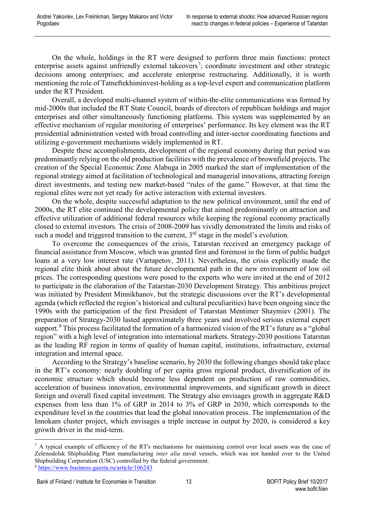On the whole, holdings in the RT were designed to perform three main functions: protect enterprise assets against unfriendly external takeovers<sup>[7](#page-13-0)</sup>; coordinate investment and other strategic decisions among enterprises; and accelerate enterprise restructuring. Additionally, it is worth mentioning the role of Tatneftekhiminvest-holding as a top-level expert and communication platform under the RT President.

Overall, a developed multi-channel system of within-the-elite communications was formed by mid-2000s that included the RT State Council, boards of directors of republican holdings and major enterprises and other simultaneously functioning platforms. This system was supplemented by an effective mechanism of regular monitoring of enterprises' performance. Its key element was the RT presidential administration vested with broad controlling and inter-sector coordinating functions and utilizing e-government mechanisms widely implemented in RT.

Despite these accomplishments, development of the regional economy during that period was predominantly relying on the old production facilities with the prevalence of brownfield projects. The creation of the Special Economic Zone Alabuga in 2005 marked the start of implementation of the regional strategy aimed at facilitation of technological and managerial innovations, attracting foreign direct investments, and testing new market-based "rules of the game." However, at that time the regional elites were not yet ready for active interaction with external investors.

On the whole, despite successful adaptation to the new political environment, until the end of 2000s, the RT elite continued the developmental policy that aimed predominantly on attraction and effective utilization of additional federal resources while keeping the regional economy practically closed to external investors. The crisis of 2008-2009 has vividly demonstrated the limits and risks of such a model and triggered transition to the current,  $3<sup>rd</sup>$  stage in the model's evolution.

To overcome the consequences of the crisis, Tatarstan received an emergency package of financial assistance from Moscow, which was granted first and foremost in the form of public budget loans at a very low interest rate (Vartapetov, 2011). Nevertheless, the crisis explicitly made the regional elite think about about the future developmental path in the new environment of low oil prices. The corresponding questions were posed to the experts who were invited at the end of 2012 to participate in the elaboration of the Tatarstan-2030 Development Strategy. This ambitious project was initiated by President Minnikhanov, but the strategic discussions over the RT's developmental agenda (which reflected the region's historical and cultural peculiarities) have been ongoing since the 1990s with the participation of the first President of Tatarstan Mentimer Shaymiev (2001). The preparation of Strategy-2030 lasted approximately three years and involved serious external expert support.<sup>[8](#page-13-1)</sup> This process facilitated the formation of a harmonized vision of the RT's future as a "global" region" with a high level of integration into international markets. Strategy-2030 positions Tatarstan as the leading RF region in terms of quality of human capital, institutions, infrastructure, external integration and internal space.

According to the Strategy's baseline scenario, by 2030 the following changes should take place in the RT's economy: nearly doubling of per capita gross regional product, diversification of its economic structure which should become less dependent on production of raw commodities, acceleration of business innovation, environmental improvements, and significant growth in direct foreign and overall fixed capital investment. The Strategy also envisages growth in aggregate R&D expenses from less than 1% of GRP in 2014 to 3% of GRP in 2030, which corresponds to the expenditure level in the countries that lead the global innovation process. The implementation of the Innokam cluster project, which envisages a triple increase in output by 2020, is considered a key growth driver in the mid-term.

<span id="page-13-0"></span> $<sup>7</sup>$  A typical example of efficiency of the RT's mechanisms for maintaining control over local assets was the case of</sup> Zelenodolsk Shipbuilding Plant manufacturing *inter alia* naval vessels, which was not handed over to the United Shipbuilding Corporation (USC) controlled by the federal government.

<span id="page-13-1"></span><sup>8</sup> <https://www.business-gazeta.ru/article/106243>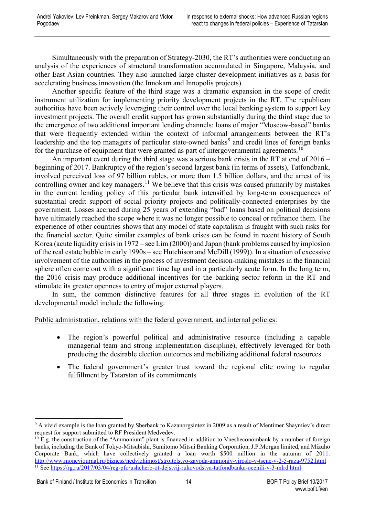Simultaneously with the preparation of Strategy-2030, the RT's authorities were conducting an analysis of the experiences of structural transformation accumulated in Singapore, Malaysia, and other East Asian countries. They also launched large cluster development initiatives as a basis for accelerating business innovation (the Innokam and Innopolis projects).

Another specific feature of the third stage was a dramatic expansion in the scope of credit instrument utilization for implementing priority development projects in the RT. The republican authorities have been actively leveraging their control over the local banking system to support key investment projects. The overall credit support has grown substantially during the third stage due to the emergence of two additional important lending channels: loans of major "Moscow-based" banks that were frequently extended within the context of informal arrangements between the RT's leadership and the top managers of particular state-owned banks<sup>[9](#page-14-0)</sup> and credit lines of foreign banks for the purchase of equipment that were granted as part of intergovernmental agreements.<sup>[10](#page-14-1)</sup>

An important event during the third stage was a serious bank crisis in the RT at end of 2016 – beginning of 2017. Bankruptcy of the region's second largest bank (in terms of assets), Tatfondbank, involved perceived loss of 97 billion rubles, or more than 1.5 billion dollars, and the arrest of its controlling owner and key managers.<sup>[11](#page-14-2)</sup> We believe that this crisis was caused primarily by mistakes in the current lending policy of this particular bank intensified by long-term consequences of substantial credit support of social priority projects and politically-connected enterprises by the government. Losses accrued during 25 years of extending "bad" loans based on political decisions have ultimately reached the scope where it was no longer possible to conceal or refinance them. The experience of other countries shows that any model of state capitalism is fraught with such risks for the financial sector. Quite similar examples of bank crises can be found in recent history of South Korea (acute liquidity crisis in 1972 – see Lim (2000)) and Japan (bank problems caused by implosion of the real estate bubble in early 1990s – see Hutchison and [McDill](http://www.sciencedirect.com/science/article/pii/S0889158399904276#!) (1999)). In a situation of excessive involvement of the authorities in the process of investment decision-making mistakes in the financial sphere often come out with a significant time lag and in a particularly acute form. In the long term, the 2016 crisis may produce additional incentives for the banking sector reform in the RT and stimulate its greater openness to entry of major external players.

In sum, the common distinctive features for all three stages in evolution of the RT developmental model include the following:

Public administration, relations with the federal government, and internal policies:

- The region's powerful political and administrative resource (including a capable managerial team and strong implementation discipline), effectively leveraged for both producing the desirable election outcomes and mobilizing additional federal resources
- The federal government's greater trust toward the regional elite owing to regular fulfillment by Tatarstan of its commitments

<span id="page-14-0"></span> <sup>9</sup> A vivid example is the loan granted by Sberbank to Kazanorgsintez in 2009 as a result of Mentimer Shaymiev's direct request for support submitted to RF President Medvedev.

<span id="page-14-2"></span><span id="page-14-1"></span> $10$  E.g. the construction of the "Ammonium" plant is financed in addition to Vnesheconombank by a number of foreign banks, including the Bank of Tokyo-Mitsubishi, Sumitomo Mitsui Banking Corporation, J.P.Morgan limited, and Mizuho Corporate Bank, which have collectively granted a loan worth \$500 million in the autumn of 2011. <http://www.moneyjournal.ru/bizness/nedvizhimost/stroitelstvo-zavoda-ammoniy-viroslo-v-tsene-v-2-5-raza-9752.html> <sup>11</sup> See <https://rg.ru/2017/03/04/reg-pfo/ushcherb-ot-dejstvij-rukovodstva-tatfondbanka-ocenili-v-3-mlrd.html>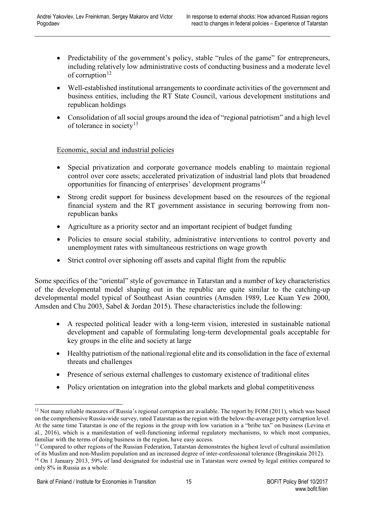- Predictability of the government's policy, stable "rules of the game" for entrepreneurs, including relatively low administrative costs of conducting business and a moderate level of corruption<sup>[12](#page-15-0)</sup>
- Well-established institutional arrangements to coordinate activities of the government and business entities, including the RT State Council, various development institutions and republican holdings
- Consolidation of all social groups around the idea of "regional patriotism" and a high level of tolerance in society<sup>[13](#page-15-1)</sup>

Economic, social and industrial policies

- Special privatization and corporate governance models enabling to maintain regional control over core assets; accelerated privatization of industrial land plots that broadened opportunities for financing of enterprises' development programs<sup>[14](#page-15-2)</sup>
- Strong credit support for business development based on the resources of the regional financial system and the RT government assistance in securing borrowing from nonrepublican banks
- Agriculture as a priority sector and an important recipient of budget funding
- Policies to ensure social stability, administrative interventions to control poverty and unemployment rates with simultaneous restrictions on wage growth
- Strict control over siphoning off assets and capital flight from the republic

Some specifics of the "oriental" style of governance in Tatarstan and a number of key characteristics of the developmental model shaping out in the republic are quite similar to the catching-up developmental model typical of Southeast Asian countries (Amsden 1989, Lee Kuan Yew 2000, Amsden and Chu 2003, Sabel & Jordan 2015). These characteristics include the following:

- A respected political leader with a long-term vision, interested in sustainable national development and capable of formulating long-term developmental goals acceptable for key groups in the elite and society at large
- Healthy patriotism of the national/regional elite and its consolidation in the face of external threats and challenges
- Presence of serious external challenges to customary existence of traditional elites
- Policy orientation on integration into the global markets and global competitiveness

<span id="page-15-0"></span><sup>&</sup>lt;sup>12</sup> Not many reliable measures of Russia's regional corruption are available. The report by FOM (2011), which was based on the comprehensive Russia-wide survey, rated Tatarstan as the region with the below-the-average petty corruption level. At the same time Tatarstan is one of the regions in the group with low variation in a "bribe tax" on business (Levina et al., 2016), which is a manifestation of well-functioning informal regulatory mechanisms, to which most companies, familiar with the terms of doing business in the region, have easy access.

<span id="page-15-1"></span><sup>&</sup>lt;sup>13</sup> Compared to other regions of the Russian Federation, Tatarstan demonstrates the highest level of cultural assimilation of its Muslim and non-Muslim population and an increased degree of inter-confessional tolerance (Braginskaia 2012).

<span id="page-15-2"></span><sup>&</sup>lt;sup>14</sup> On 1 January 2013, 59% of land designated for industrial use in Tatarstan were owned by legal entities compared to only 8% in Russia as a whole.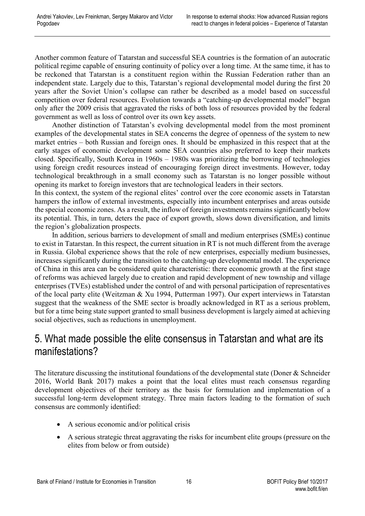Another common feature of Tatarstan and successful SEA countries is the formation of an autocratic political regime capable of ensuring continuity of policy over a long time. At the same time, it has to be reckoned that Tatarstan is a constituent region within the Russian Federation rather than an independent state. Largely due to this, Tatarstan's regional developmental model during the first 20 years after the Soviet Union's collapse can rather be described as a model based on successful competition over federal resources. Evolution towards a "catching-up developmental model" began only after the 2009 crisis that aggravated the risks of both loss of resources provided by the federal government as well as loss of control over its own key assets.

Another distinction of Tatarstan's evolving developmental model from the most prominent examples of the developmental states in SEA concerns the degree of openness of the system to new market entries – both Russian and foreign ones. It should be emphasized in this respect that at the early stages of economic development some SEA countries also preferred to keep their markets closed. Specifically, South Korea in 1960s – 1980s was prioritizing the borrowing of technologies using foreign credit resources instead of encouraging foreign direct investments. However, today technological breakthrough in a small economy such as Tatarstan is no longer possible without opening its market to foreign investors that are technological leaders in their sectors.

In this context, the system of the regional elites' control over the core economic assets in Tatarstan hampers the inflow of external investments, especially into incumbent enterprises and areas outside the special economic zones. As a result, the inflow of foreign investments remains significantly below its potential. This, in turn, deters the pace of export growth, slows down diversification, and limits the region's globalization prospects.

In addition, serious barriers to development of small and medium enterprises (SMEs) continue to exist in Tatarstan. In this respect, the current situation in RT is not much different from the average in Russia. Global experience shows that the role of new enterprises, especially medium businesses, increases significantly during the transition to the catching-up developmental model. The experience of China in this area can be considered quite characteristic: there economic growth at the first stage of reforms was achieved largely due to creation and rapid development of new township and village enterprises (TVEs) established under the control of and with personal participation of representatives of the local party elite (Weitzman & Xu 1994, Putterman 1997). Our expert interviews in Tatarstan suggest that the weakness of the SME sector is broadly acknowledged in RT as a serious problem, but for a time being state support granted to small business development is largely aimed at achieving social objectives, such as reductions in unemployment.

#### <span id="page-16-0"></span>5. What made possible the elite consensus in Tatarstan and what are its manifestations?

The literature discussing the institutional foundations of the developmental state (Doner & Schneider 2016, World Bank 2017) makes a point that the local elites must reach consensus regarding development objectives of their territory as the basis for formulation and implementation of a successful long-term development strategy. Three main factors leading to the formation of such consensus are commonly identified:

- A serious economic and/or political crisis
- A serious strategic threat aggravating the risks for incumbent elite groups (pressure on the elites from below or from outside)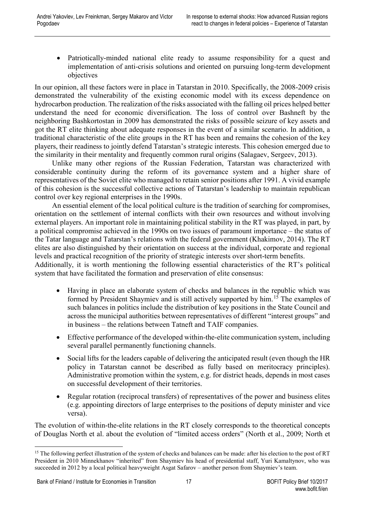• Patriotically-minded national elite ready to assume responsibility for a quest and implementation of anti-crisis solutions and oriented on pursuing long-term development objectives

In our opinion, all these factors were in place in Tatarstan in 2010. Specifically, the 2008-2009 crisis demonstrated the vulnerability of the existing economic model with its excess dependence on hydrocarbon production. The realization of the risks associated with the falling oil prices helped better understand the need for economic diversification. The loss of control over Bashneft by the neighboring Bashkortostan in 2009 has demonstrated the risks of possible seizure of key assets and got the RT elite thinking about adequate responses in the event of a similar scenario. In addition, a traditional characteristic of the elite groups in the RT has been and remains the cohesion of the key players, their readiness to jointly defend Tatarstan's strategic interests. This cohesion emerged due to the similarity in their mentality and frequently common rural origins (Salagaev, Sergeev, 2013).

Unlike many other regions of the Russian Federation, Tatarstan was characterized with considerable continuity during the reform of its governance system and a higher share of representatives of the Soviet elite who managed to retain senior positions after 1991. A vivid example of this cohesion is the successful collective actions of Tatarstan's leadership to maintain republican control over key regional enterprises in the 1990s.

An essential element of the local political culture is the tradition of searching for compromises, orientation on the settlement of internal conflicts with their own resources and without involving external players. An important role in maintaining political stability in the RT was played, in part, by a political compromise achieved in the 1990s on two issues of paramount importance – the status of the Tatar language and Tatarstan's relations with the federal government (Khakimov, 2014). The RT elites are also distinguished by their orientation on success at the individual, corporate and regional levels and practical recognition of the priority of strategic interests over short-term benefits.

Additionally, it is worth mentioning the following essential characteristics of the RT's political system that have facilitated the formation and preservation of elite consensus:

- Having in place an elaborate system of checks and balances in the republic which was formed by President Shaymiev and is still actively supported by him.<sup>[15](#page-17-0)</sup> The examples of such balances in politics include the distribution of key positions in the State Council and across the municipal authorities between representatives of different "interest groups" and in business – the relations between Tatneft and TAIF companies.
- Effective performance of the developed within-the-elite communication system, including several parallel permanently functioning channels.
- Social lifts for the leaders capable of delivering the anticipated result (even though the HR policy in Tatarstan cannot be described as fully based on meritocracy principles). Administrative promotion within the system, e.g. for district heads, depends in most cases on successful development of their territories.
- Regular rotation (reciprocal transfers) of representatives of the power and business elites (e.g. appointing directors of large enterprises to the positions of deputy minister and vice versa).

The evolution of within-the-elite relations in the RT closely corresponds to the theoretical concepts of Douglas North et al. about the evolution of "limited access orders" (North et al., 2009; North et

<span id="page-17-0"></span><sup>&</sup>lt;sup>15</sup> The following perfect illustration of the system of checks and balances can be made: after his election to the post of RT President in 2010 Minnekhanov "inherited" from Shaymiev his head of presidential staff, Yuri Kamaltynov, who was succeeded in 2012 by a local political heavyweight Asgat Safarov – another person from Shaymiev's team.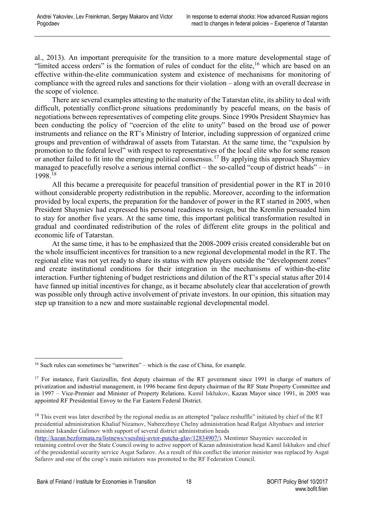al., 2013). An important prerequisite for the transition to a more mature developmental stage of "limited access orders" is the formation of rules of conduct for the elite,<sup>[16](#page-18-0)</sup> which are based on an effective within-the-elite communication system and existence of mechanisms for monitoring of compliance with the agreed rules and sanctions for their violation – along with an overall decrease in the scope of violence.

There are several examples attesting to the maturity of the Tatarstan elite, its ability to deal with difficult, potentially conflict-prone situations predominantly by peaceful means, on the basis of negotiations between representatives of competing elite groups. Since 1990s President Shaymiev has been conducting the policy of "coercion of the elite to unity" based on the broad use of power instruments and reliance on the RT's Ministry of Interior, including suppression of organized crime groups and prevention of withdrawal of assets from Tatarstan. At the same time, the "expulsion by promotion to the federal level" with respect to representatives of the local elite who for some reason or another failed to fit into the emerging political consensus.<sup>[17](#page-18-1)</sup> By applying this approach Shaymiev managed to peacefully resolve a serious internal conflict – the so-called "coup of district heads" – in 1998.[18](#page-18-2)

All this became a prerequisite for peaceful transition of presidential power in the RT in 2010 without considerable property redistribution in the republic. Moreover, according to the information provided by local experts, the preparation for the handover of power in the RT started in 2005, when President Shaymiev had expressed his personal readiness to resign, but the Kremlin persuaded him to stay for another five years. At the same time, this important political transformation resulted in gradual and coordinated redistribution of the roles of different elite groups in the political and economic life of Tatarstan.

At the same time, it has to be emphasized that the 2008-2009 crisis created considerable but on the whole insufficient incentives for transition to a new regional developmental model in the RT. The regional elite was not yet ready to share its status with new players outside the "development zones" and create institutional conditions for their integration in the mechanisms of within-the-elite interaction. Further tightening of budget restrictions and dilution of the RT's special status after 2014 have fanned up initial incentives for change, as it became absolutely clear that acceleration of growth was possible only through active involvement of private investors. In our opinion, this situation may step up transition to a new and more sustainable regional developmental model.

<span id="page-18-0"></span> <sup>16</sup> Such rules can sometimes be "unwritten" – which is the case of China, for example.

<span id="page-18-1"></span><sup>&</sup>lt;sup>17</sup> For instance, Farit Gazizullin, first deputy chairman of the RT government since 1991 in charge of matters of privatization and industrial management, in 1996 became first deputy chairman of the RF State Property Committee and in 1997 – Vice-Premier and Minister of Property Relations. Kamil Iskhakov, Kazan Mayor since 1991, in 2005 was appointed RF Presidential Envoy to the Far Eastern Federal District.

<span id="page-18-2"></span><sup>&</sup>lt;sup>18</sup> This event was later described by the regional media as an attempted "palace reshuffle" initiated by chief of the RT presidential administration Khaliaf Nizamov, Naberezhnye Chelny administration head Rafgat Altynbaev and interior minister Iskander Galimov with support of several district administration heads

[<sup>\(</sup>http://kazan.bezformata.ru/listnews/vsesilnij-avtor-putcha-glav/12834907/\)](http://kazan.bezformata.ru/listnews/vsesilnij-avtor-putcha-glav/12834907/). Mentimer Shaymiev succeeded in retaining control over the State Council owing to active support of Kazan administration head Kamil Iskhakov and chief of the presidential security service Asgat Safarov. As a result of this conflict the interior minister was replaced by Asgat Safarov and one of the coup's main initiators was promoted to the RF Federation Council.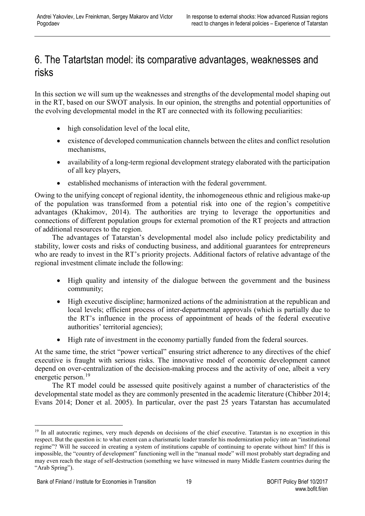### <span id="page-19-0"></span>6. The Tatartstan model: its comparative advantages, weaknesses and risks

In this section we will sum up the weaknesses and strengths of the developmental model shaping out in the RT, based on our SWOT analysis. In our opinion, the strengths and potential opportunities of the evolving developmental model in the RT are connected with its following peculiarities:

- high consolidation level of the local elite,
- existence of developed communication channels between the elites and conflict resolution mechanisms,
- availability of a long-term regional development strategy elaborated with the participation of all key players,
- established mechanisms of interaction with the federal government.

Owing to the unifying concept of regional identity, the inhomogeneous ethnic and religious make-up of the population was transformed from a potential risk into one of the region's competitive advantages (Khakimov, 2014). The authorities are trying to leverage the opportunities and connections of different population groups for external promotion of the RT projects and attraction of additional resources to the region.

The advantages of Tatarstan's developmental model also include policy predictability and stability, lower costs and risks of conducting business, and additional guarantees for entrepreneurs who are ready to invest in the RT's priority projects. Additional factors of relative advantage of the regional investment climate include the following:

- High quality and intensity of the dialogue between the government and the business community;
- High executive discipline; harmonized actions of the administration at the republican and local levels; efficient process of inter-departmental approvals (which is partially due to the RT's influence in the process of appointment of heads of the federal executive authorities' territorial agencies);
- High rate of investment in the economy partially funded from the federal sources.

At the same time, the strict "power vertical" ensuring strict adherence to any directives of the chief executive is fraught with serious risks. The innovative model of economic development cannot depend on over-centralization of the decision-making process and the activity of one, albeit a very energetic person.<sup>[19](#page-19-1)</sup>

The RT model could be assessed quite positively against a number of characteristics of the developmental state model as they are commonly presented in the academic literature (Chibber 2014; Evans 2014; Doner et al. 2005). In particular, over the past 25 years Tatarstan has accumulated

<span id="page-19-1"></span><sup>&</sup>lt;sup>19</sup> In all autocratic regimes, very much depends on decisions of the chief executive. Tatarstan is no exception in this respect. But the question is: to what extent can a charismatic leader transfer his modernization policy into an "institutional regime"? Will he succeed in creating a system of institutions capable of continuing to operate without him? If this is impossible, the "country of development" functioning well in the "manual mode" will most probably start degrading and may even reach the stage of self-destruction (something we have witnessed in many Middle Eastern countries during the "Arab Spring").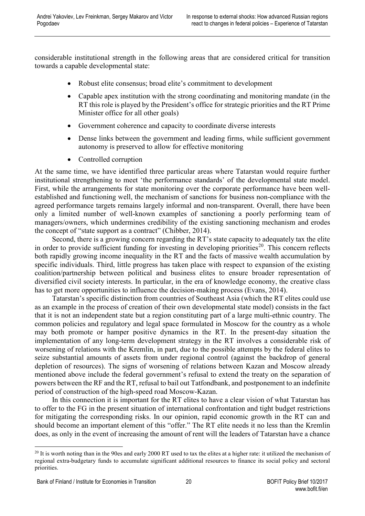considerable institutional strength in the following areas that are considered critical for transition towards a capable developmental state:

- Robust elite consensus; broad elite's commitment to development
- Capable apex institution with the strong coordinating and monitoring mandate (in the RT this role is played by the President's office for strategic priorities and the RT Prime Minister office for all other goals)
- Government coherence and capacity to coordinate diverse interests
- Dense links between the government and leading firms, while sufficient government autonomy is preserved to allow for effective monitoring
- Controlled corruption

At the same time, we have identified three particular areas where Tatarstan would require further institutional strengthening to meet 'the performance standards' of the developmental state model. First, while the arrangements for state monitoring over the corporate performance have been wellestablished and functioning well, the mechanism of sanctions for business non-compliance with the agreed performance targets remains largely informal and non-transparent. Overall, there have been only a limited number of well-known examples of sanctioning a poorly performing team of managers/owners, which undermines credibility of the existing sanctioning mechanism and erodes the concept of "state support as a contract" (Chibber, 2014).

Second, there is a growing concern regarding the RT's state capacity to adequately tax the elite in order to provide sufficient funding for investing in developing priorities<sup>20</sup>. This concern reflects both rapidly growing income inequality in the RT and the facts of massive wealth accumulation by specific individuals. Third, little progress has taken place with respect to expansion of the existing coalition/partnership between political and business elites to ensure broader representation of diversified civil society interests. In particular, in the era of knowledge economy, the creative class has to get more opportunities to influence the decision-making process (Evans, 2014).

Tatarstan's specific distinction from countries of Southeast Asia (which the RT elites could use as an example in the process of creation of their own developmental state model) consists in the fact that it is not an independent state but a region constituting part of a large multi-ethnic country. The common policies and regulatory and legal space formulated in Moscow for the country as a whole may both promote or hamper positive dynamics in the RT. In the present-day situation the implementation of any long-term development strategy in the RT involves a considerable risk of worsening of relations with the Kremlin, in part, due to the possible attempts by the federal elites to seize substantial amounts of assets from under regional control (against the backdrop of general depletion of resources). The signs of worsening of relations between Kazan and Moscow already mentioned above include the federal government's refusal to extend the treaty on the separation of powers between the RF and the RT, refusal to bail out Tatfondbank, and postponement to an indefinite period of construction of the high-speed road Moscow-Kazan.

In this connection it is important for the RT elites to have a clear vision of what Tatarstan has to offer to the FG in the present situation of international confrontation and tight budget restrictions for mitigating the corresponding risks. In our opinion, rapid economic growth in the RT can and should become an important element of this "offer." The RT elite needs it no less than the Kremlin does, as only in the event of increasing the amount of rent will the leaders of Tatarstan have a chance

<span id="page-20-0"></span> $^{20}$  It is worth noting than in the 90es and early 2000 RT used to tax the elites at a higher rate: it utilized the mechanism of regional extra-budgetary funds to accumulate significant additional resources to finance its social policy and sectoral priorities.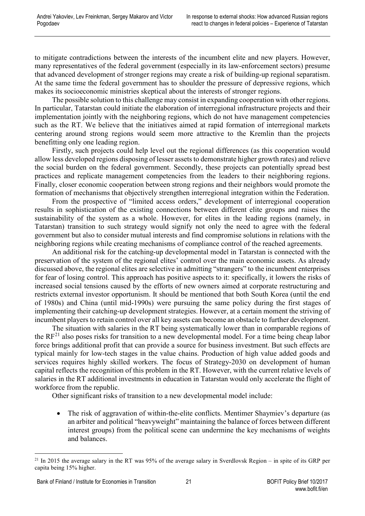to mitigate contradictions between the interests of the incumbent elite and new players. However, many representatives of the federal government (especially in its law-enforcement sectors) presume that advanced development of stronger regions may create a risk of building-up regional separatism. At the same time the federal government has to shoulder the pressure of depressive regions, which makes its socioeconomic ministries skeptical about the interests of stronger regions.

The possible solution to this challenge may consist in expanding cooperation with other regions. In particular, Tatarstan could initiate the elaboration of interregional infrastructure projects and their implementation jointly with the neighboring regions, which do not have management competencies such as the RT. We believe that the initiatives aimed at rapid formation of interregional markets centering around strong regions would seem more attractive to the Kremlin than the projects benefitting only one leading region.

Firstly, such projects could help level out the regional differences (as this cooperation would allow less developed regions disposing of lesser assets to demonstrate higher growth rates) and relieve the social burden on the federal government. Secondly, these projects can potentially spread best practices and replicate management competencies from the leaders to their neighboring regions. Finally, closer economic cooperation between strong regions and their neighbors would promote the formation of mechanisms that objectively strengthen interregional integration within the Federation.

From the prospective of "limited access orders," development of interregional cooperation results in sophistication of the existing connections between different elite groups and raises the sustainability of the system as a whole. However, for elites in the leading regions (namely, in Tatarstan) transition to such strategy would signify not only the need to agree with the federal government but also to consider mutual interests and find compromise solutions in relations with the neighboring regions while creating mechanisms of compliance control of the reached agreements.

An additional risk for the catching-up developmental model in Tatarstan is connected with the preservation of the system of the regional elites' control over the main economic assets. As already discussed above, the regional elites are selective in admitting "strangers" to the incumbent enterprises for fear of losing control. This approach has positive aspects to it: specifically, it lowers the risks of increased social tensions caused by the efforts of new owners aimed at corporate restructuring and restricts external investor opportunism. It should be mentioned that both South Korea (until the end of 1980s) and China (until mid-1990s) were pursuing the same policy during the first stages of implementing their catching-up development strategies. However, at a certain moment the striving of incumbent players to retain control over all key assets can become an obstacle to further development.

The situation with salaries in the RT being systematically lower than in comparable regions of the  $RF<sup>21</sup>$  $RF<sup>21</sup>$  $RF<sup>21</sup>$  also poses risks for transition to a new developmental model. For a time being cheap labor force brings additional profit that can provide a source for business investment. But such effects are typical mainly for low-tech stages in the value chains. Production of high value added goods and services requires highly skilled workers. The focus of Strategy-2030 on development of human capital reflects the recognition of this problem in the RT. However, with the current relative levels of salaries in the RT additional investments in education in Tatarstan would only accelerate the flight of workforce from the republic.

Other significant risks of transition to a new developmental model include:

• The risk of aggravation of within-the-elite conflicts. Mentimer Shaymiev's departure (as an arbiter and political "heavyweight" maintaining the balance of forces between different interest groups) from the political scene can undermine the key mechanisms of weights and balances.

<span id="page-21-0"></span><sup>&</sup>lt;sup>21</sup> In 2015 the average salary in the RT was 95% of the average salary in Sverdlovsk Region – in spite of its GRP per capita being 15% higher.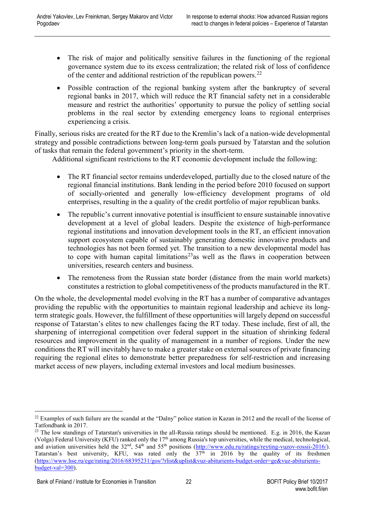- The risk of major and politically sensitive failures in the functioning of the regional governance system due to its excess centralization; the related risk of loss of confidence of the center and additional restriction of the republican powers.<sup>[22](#page-22-0)</sup>
- Possible contraction of the regional banking system after the bankruptcy of several regional banks in 2017, which will reduce the RT financial safety net in a considerable measure and restrict the authorities' opportunity to pursue the policy of settling social problems in the real sector by extending emergency loans to regional enterprises experiencing a crisis.

Finally, serious risks are created for the RT due to the Kremlin's lack of a nation-wide developmental strategy and possible contradictions between long-term goals pursued by Tatarstan and the solution of tasks that remain the federal government's priority in the short-term.

Additional significant restrictions to the RT economic development include the following:

- The RT financial sector remains underdeveloped, partially due to the closed nature of the regional financial institutions. Bank lending in the period before 2010 focused on support of socially-oriented and generally low-efficiency development programs of old enterprises, resulting in the a quality of the credit portfolio of major republican banks.
- The republic's current innovative potential is insufficient to ensure sustainable innovative development at a level of global leaders. Despite the existence of high-performance regional institutions and innovation development tools in the RT, an efficient innovation support ecosystem capable of sustainably generating domestic innovative products and technologies has not been formed yet. The transition to a new developmental model has to cope with human capital limitations<sup>23</sup> as well as the flaws in cooperation between universities, research centers and business.
- The remoteness from the Russian state border (distance from the main world markets) constitutes a restriction to global competitiveness of the products manufactured in the RT.

On the whole, the developmental model evolving in the RT has a number of comparative advantages providing the republic with the opportunities to maintain regional leadership and achieve its longterm strategic goals. However, the fulfillment of these opportunities will largely depend on successful response of Tatarstan's elites to new challenges facing the RT today. These include, first of all, the sharpening of interregional competition over federal support in the situation of shrinking federal resources and improvement in the quality of management in a number of regions. Under the new conditions the RT will inevitably have to make a greater stake on external sources of private financing requiring the regional elites to demonstrate better preparedness for self-restriction and increasing market access of new players, including external investors and local medium businesses.

<span id="page-22-0"></span> $^{22}$  Examples of such failure are the scandal at the "Dalny" police station in Kazan in 2012 and the recall of the license of Tatfondbank in 2017.

<span id="page-22-1"></span> $23$  The low standings of Tatarstan's universities in the all-Russia ratings should be mentioned. E.g. in 2016, the Kazan (Volga) Federal University (KFU) ranked only the  $17<sup>th</sup>$  among Russia's top universities, while the medical, technological, and aviation universities held the  $32<sup>nd</sup>$ ,  $54<sup>th</sup>$  and  $55<sup>th</sup>$  positions [\(http://www.edu.ru/ratings/reyting-vuzov-rossii-2016/\)](http://www.edu.ru/ratings/reyting-vuzov-rossii-2016/). Tatarstan's best university, KFU, was rated only the 37<sup>th</sup> in 2016 by the quality of its freshmen [\(https://www.hse.ru/ege/rating/2016/68395231/gos/?rlist&uplist&vuz-abiturients-budget-order=ge&vuz-abiturients](https://www.hse.ru/ege/rating/2016/68395231/gos/?rlist&uplist&vuz-abiturients-budget-order=ge&vuz-abiturients-budget-val=300)[budget-val=300\)](https://www.hse.ru/ege/rating/2016/68395231/gos/?rlist&uplist&vuz-abiturients-budget-order=ge&vuz-abiturients-budget-val=300).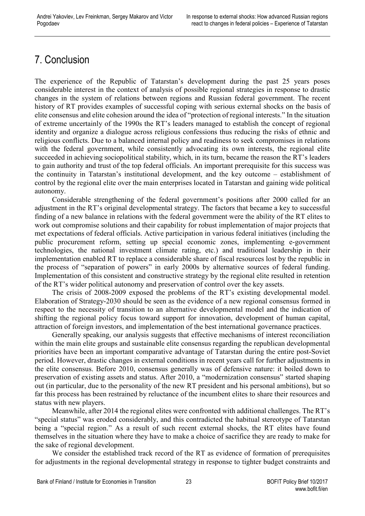# <span id="page-23-0"></span>7. Conclusion

The experience of the Republic of Tatarstan's development during the past 25 years poses considerable interest in the context of analysis of possible regional strategies in response to drastic changes in the system of relations between regions and Russian federal government. The recent history of RT provides examples of successful coping with serious external shocks on the basis of elite consensus and elite cohesion around the idea of "protection of regional interests." In the situation of extreme uncertainly of the 1990s the RT's leaders managed to establish the concept of regional identity and organize a dialogue across religious confessions thus reducing the risks of ethnic and religious conflicts. Due to a balanced internal policy and readiness to seek compromises in relations with the federal government, while consistently advocating its own interests, the regional elite succeeded in achieving sociopolitical stability, which, in its turn, became the reason the RT's leaders to gain authority and trust of the top federal officials. An important prerequisite for this success was the continuity in Tatarstan's institutional development, and the key outcome – establishment of control by the regional elite over the main enterprises located in Tatarstan and gaining wide political autonomy.

Considerable strengthening of the federal government's positions after 2000 called for an adjustment in the RT's original developmental strategy. The factors that became a key to successful finding of a new balance in relations with the federal government were the ability of the RT elites to work out compromise solutions and their capability for robust implementation of major projects that met expectations of federal officials. Active participation in various federal initiatives (including the public procurement reform, setting up special economic zones, implementing e-government technologies, the national investment climate rating, etc.) and traditional leadership in their implementation enabled RT to replace a considerable share of fiscal resources lost by the republic in the process of "separation of powers" in early 2000s by alternative sources of federal funding. Implementation of this consistent and constructive strategy by the regional elite resulted in retention of the RT's wider political autonomy and preservation of control over the key assets.

The crisis of 2008-2009 exposed the problems of the RT's existing developmental model. Elaboration of Strategy-2030 should be seen as the evidence of a new regional consensus formed in respect to the necessity of transition to an alternative developmental model and the indication of shifting the regional policy focus toward support for innovation, development of human capital, attraction of foreign investors, and implementation of the best international governance practices.

Generally speaking, our analysis suggests that effective mechanisms of interest reconciliation within the main elite groups and sustainable elite consensus regarding the republican developmental priorities have been an important comparative advantage of Tatarstan during the entire post-Soviet period. However, drastic changes in external conditions in recent years call for further adjustments in the elite consensus. Before 2010, consensus generally was of defensive nature: it boiled down to preservation of existing assets and status. After 2010, a "modernization consensus" started shaping out (in particular, due to the personality of the new RT president and his personal ambitions), but so far this process has been restrained by reluctance of the incumbent elites to share their resources and status with new players.

Meanwhile, after 2014 the regional elites were confronted with additional challenges. The RT's "special status" was eroded considerably, and this contradicted the habitual stereotype of Tatarstan being a "special region." As a result of such recent external shocks, the RT elites have found themselves in the situation where they have to make a choice of sacrifice they are ready to make for the sake of regional development.

We consider the established track record of the RT as evidence of formation of prerequisites for adjustments in the regional developmental strategy in response to tighter budget constraints and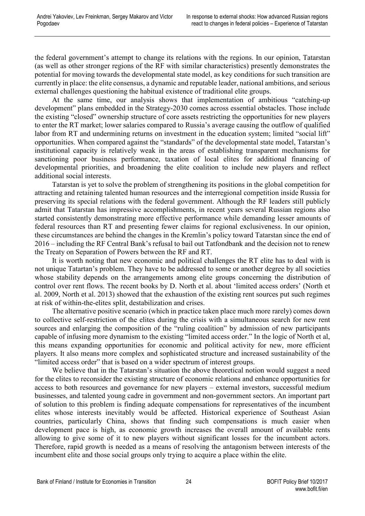the federal government's attempt to change its relations with the regions. In our opinion, Tatarstan (as well as other stronger regions of the RF with similar characteristics) presently demonstrates the potential for moving towards the developmental state model, as key conditions for such transition are currently in place: the elite consensus, a dynamic and reputable leader, national ambitions, and serious external challenges questioning the habitual existence of traditional elite groups.

At the same time, our analysis shows that implementation of ambitious "catching-up development" plans embedded in the Strategy-2030 comes across essential obstacles. Those include the existing "closed" ownership structure of core assets restricting the opportunities for new players to enter the RT market; lower salaries compared to Russia's average causing the outflow of qualified labor from RT and undermining returns on investment in the education system; limited "social lift" opportunities. When compared against the "standards" of the developmental state model, Tatarstan's institutional capacity is relatively weak in the areas of establishing transparent mechanisms for sanctioning poor business performance, taxation of local elites for additional financing of developmental priorities, and broadening the elite coalition to include new players and reflect additional social interests.

Tatarstan is yet to solve the problem of strengthening its positions in the global competition for attracting and retaining talented human resources and the interregional competition inside Russia for preserving its special relations with the federal government. Although the RF leaders still publicly admit that Tatarstan has impressive accomplishments, in recent years several Russian regions also started consistently demonstrating more effective performance while demanding lesser amounts of federal resources than RT and presenting fewer claims for regional exclusiveness. In our opinion, these circumstances are behind the changes in the Kremlin's policy toward Tatarstan since the end of 2016 – including the RF Central Bank's refusal to bail out Tatfondbank and the decision not to renew the Treaty on Separation of Powers between the RF and RT.

It is worth noting that new economic and political challenges the RT elite has to deal with is not unique Tatartan's problem. They have to be addressed to some or another degree by all societies whose stability depends on the arrangements among elite groups concerning the distribution of control over rent flows. The recent books by D. North et al. about 'limited access orders' (North et al. 2009, North et al. 2013) showed that the exhaustion of the existing rent sources put such regimes at risk of within-the-elites split, destabilization and crises.

The alternative positive scenario (which in practice taken place much more rarely) comes down to collective self-restriction of the elites during the crisis with a simultaneous search for new rent sources and enlarging the composition of the "ruling coalition" by admission of new participants capable of infusing more dynamism to the existing "limited access order." In the logic of North et al, this means expanding opportunities for economic and political activity for new, more efficient players. It also means more complex and sophisticated structure and increased sustainability of the "limited access order" that is based on a wider spectrum of interest groups.

We believe that in the Tatarstan's situation the above theoretical notion would suggest a need for the elites to reconsider the existing structure of economic relations and enhance opportunities for access to both resources and governance for new players – external investors, successful medium businesses, and talented young cadre in government and non-government sectors. An important part of solution to this problem is finding adequate compensations for representatives of the incumbent elites whose interests inevitably would be affected. Historical experience of Southeast Asian countries, particularly China, shows that finding such compensations is much easier when development pace is high, as economic growth increases the overall amount of available rents allowing to give some of it to new players without significant losses for the incumbent actors. Therefore, rapid growth is needed as a means of resolving the antagonism between interests of the incumbent elite and those social groups only trying to acquire a place within the elite.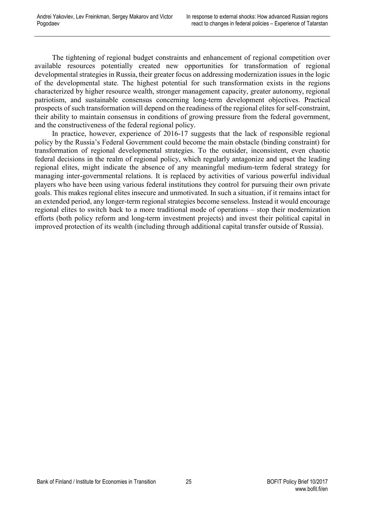The tightening of regional budget constraints and enhancement of regional competition over available resources potentially created new opportunities for transformation of regional developmental strategies in Russia, their greater focus on addressing modernization issues in the logic of the developmental state. The highest potential for such transformation exists in the regions characterized by higher resource wealth, stronger management capacity, greater autonomy, regional patriotism, and sustainable consensus concerning long-term development objectives. Practical prospects of such transformation will depend on the readiness of the regional elites for self-constraint, their ability to maintain consensus in conditions of growing pressure from the federal government, and the constructiveness of the federal regional policy.

In practice, however, experience of 2016-17 suggests that the lack of responsible regional policy by the Russia's Federal Government could become the main obstacle (binding constraint) for transformation of regional developmental strategies. To the outsider, inconsistent, even chaotic federal decisions in the realm of regional policy, which regularly antagonize and upset the leading regional elites, might indicate the absence of any meaningful medium-term federal strategy for managing inter-governmental relations. It is replaced by activities of various powerful individual players who have been using various federal institutions they control for pursuing their own private goals. This makes regional elites insecure and unmotivated. In such a situation, if it remains intact for an extended period, any longer-term regional strategies become senseless. Instead it would encourage regional elites to switch back to a more traditional mode of operations – stop their modernization efforts (both policy reform and long-term investment projects) and invest their political capital in improved protection of its wealth (including through additional capital transfer outside of Russia).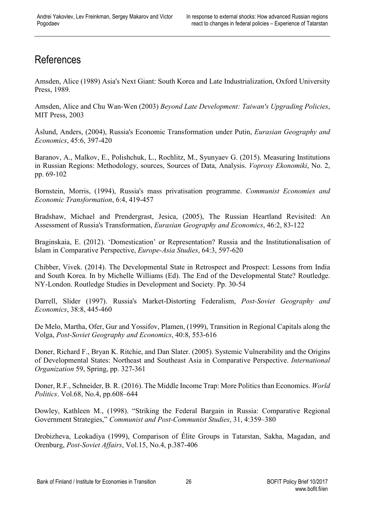# <span id="page-26-0"></span>References

Amsden, Alice (1989) Asia's Next Giant: South Korea and Late Industrialization, Oxford University Press, 1989.

Amsden, Alice and Chu Wan-Wen (2003) *Beyond Late Development: Taiwan's Upgrading Policies*, MIT Press, 2003

Åslund, Anders, (2004), Russia's Economic Transformation under Putin, *Eurasian Geography and Economics*, 45:6, 397-420

Baranov, A., Malkov, E., Polishchuk, L., Rochlitz, M., Syunyaev G. (2015). Measuring Institutions in Russian Regions: Methodology, sources, Sources of Data, Analysis. *Voprosy Ekonomiki*, No. 2, pp. 69-102

Bornstein, Morris, (1994), Russia's mass privatisation programme. *Communist Economies and Economic Transformation*, 6:4, 419-457

Bradshaw, Michael and Prendergrast, Jesica, (2005), The Russian Heartland Revisited: An Assessment of Russia's Transformation, *Eurasian Geography and Economics*, 46:2, 83-122

Braginskaia, E. (2012). 'Domestication' or Representation? Russia and the Institutionalisation of Islam in Comparative Perspective, *Europe-Asia Studies*, 64:3, 597-620

Chibber, Vivek. (2014). The Developmental State in Retrospect and Prospect: Lessons from India and South Korea. In by Michelle Williams (Ed). The End of the Developmental State? Routledge. NY-London. Routledge Studies in Development and Society. Pp. 30-54

Darrell, Slider (1997). Russia's Market-Distorting Federalism, *Post-Soviet Geography and Economics*, 38:8, 445-460

De Melo, Martha, Ofer, Gur and Yossifov, Plamen, (1999), Transition in Regional Capitals along the Volga, *Post-Soviet Geography and Economics*, 40:8, 553-616

Doner, Richard F., Bryan K. Ritchie, and Dan Slater. (2005). Systemic Vulnerability and the Origins of Developmental States: Northeast and Southeast Asia in Comparative Perspective. *International Organization* 59, Spring, pp. 327-361

Doner, R.F., Schneider, B. R. (2016). The Middle Income Trap: More Politics than Economics. *World Politics*. Vol.68, No.4, pp.608–644

Dowley, Kathleen M., (1998). "Striking the Federal Bargain in Russia: Comparative Regional Government Strategies," *Communist and Post-Communist Studies*, 31, 4:359–380

Drobizheva, Leokadiya (1999), Comparison of Élite Groups in Tatarstan, Sakha, Magadan, and Orenburg, *Post-Soviet Affairs*, Vol.15, No.4, p.387-406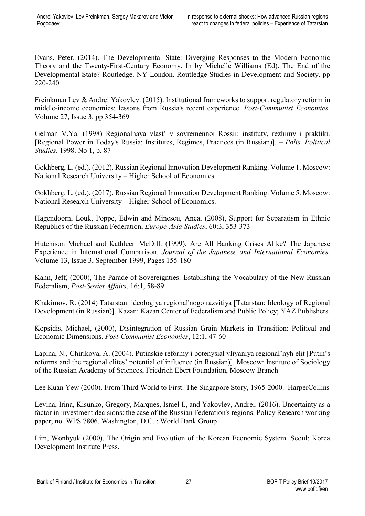Evans, Peter. (2014). The Developmental State: Diverging Responses to the Modern Economic Theory and the Twenty-First-Century Economy. In by Michelle Williams (Ed). The End of the Developmental State? Routledge. NY-London. Routledge Studies in Development and Society. pp 220-240

Freinkman Lev & Andrei Yakovlev. (2015). Institutional frameworks to support regulatory reform in middle-income economies: lessons from Russia's recent experience. *[Post-Communist Economies](http://www.tandfonline.com/toc/cpce20/current)*. Volume 27, [Issue 3,](http://www.tandfonline.com/toc/cpce20/27/3) pp 354-369

Gelman V.Ya. (1998) Regionalnaya vlast' v sovremennoi Rossii: instituty, rezhimy i praktiki. [Regional Power in Today's Russia: Institutes, Regimes, Practices (in Russian)]. – *Polis. Political Studies*. 1998. No 1, p. 87

Gokhberg, L. (ed.). (2012). Russian Regional Innovation Development Ranking. Volume 1. Moscow: National Research University – Higher School of Economics.

Gokhberg, L. (ed.). (2017). Russian Regional Innovation Development Ranking. Volume 5. Moscow: National Research University – Higher School of Economics.

Hagendoorn, Louk, Poppe, Edwin and Minescu, Anca, (2008), Support for Separatism in Ethnic Republics of the Russian Federation, *Europe-Asia Studies*, 60:3, 353-373

Hutchison [Michael a](http://www.sciencedirect.com/science/article/pii/S0889158399904276#!)nd [Kathleen McDill.](http://www.sciencedirect.com/science/article/pii/S0889158399904276#!) (1999). Are All Banking Crises Alike? The Japanese Experience in International Comparison. *[Journal of the Japanese and International Economies](http://www.sciencedirect.com/science/journal/08891583)*. [Volume 13, Issue 3,](http://www.sciencedirect.com/science/journal/08891583/13/3) September 1999, Pages 155-180

Kahn, Jeff, (2000), The Parade of Sovereignties: Establishing the Vocabulary of the New Russian Federalism, *Post-Soviet Affairs*, 16:1, 58-89

Khakimov, R. (2014) Tatarstan: ideologiya regional'nogo razvitiya [Tatarstan: Ideology of Regional Development (in Russian)]. Kazan: Kazan Center of Federalism and Public Policy; YAZ Publishers.

Kopsidis, Michael, (2000), Disintegration of Russian Grain Markets in Transition: Political and Economic Dimensions, *Post-Communist Economies*, 12:1, 47-60

Lapina, N., Chirikova, A. (2004). Putinskie reformy i potenysial vliyaniya regional'nyh elit [Putin's reforms and the regional elites' potential of influence (in Russian)]. Moscow: Institute of Sociology of the Russian Academy of Sciences, Friedrich Ebert Foundation, Moscow Branch

Lee Kuan Yew (2000). From Third World to First: The Singapore Story, 1965-2000. HarperCollins

Levina, Irina, Kisunko, Gregory, Marques, Israel I., and Yakovlev, Andrei. (2016). Uncertainty as a factor in investment decisions: the case of the Russian Federation's regions. Policy Research working paper; no. WPS 7806. Washington, D.C. : World Bank Group

Lim, Wonhyuk (2000), The Origin and Evolution of the Korean Economic System. Seoul: Korea Development Institute Press.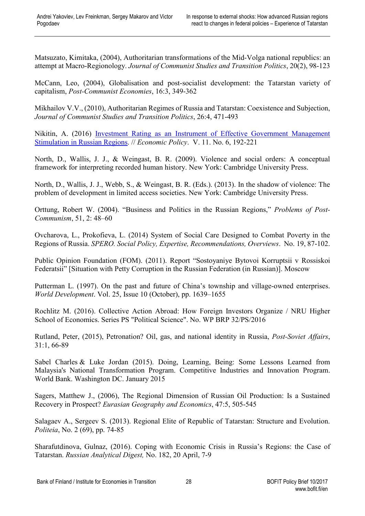Matsuzato, Kimitaka, (2004), Authoritarian transformations of the Mid-Volga national republics: an attempt at Macro-Regionology. *Journal of Communist Studies and Transition Politics*, 20(2), 98-123

McCann, Leo, (2004), Globalisation and post-socialist development: the Tatarstan variety of capitalism, *Post-Communist Economies*, 16:3, 349-362

Mikhailov V.V., (2010), Authoritarian Regimes of Russia and Tatarstan: Coexistence and Subjection, *Journal of Communist Studies and Transition Politics*, 26:4, 471-493

Nikitin, A. (2016) [Investment Rating as an Instrument of Effective Government](javascript:) Management [Stimulation in Russian Regions.](javascript:) // *[Economic](https://elibrary.ru/contents.asp?issueid=1709731) Policy*. V. 11. [No.](https://elibrary.ru/contents.asp?issueid=1709731&selid=27810883) 6, 192-221

North, D., Wallis, J. J., & Weingast, B. R. (2009). Violence and social orders: A conceptual framework for interpreting recorded human history. New York: Cambridge University Press.

North, D., Wallis, J. J., Webb, S., & Weingast, B. R. (Eds.). (2013). In the shadow of violence: The problem of development in limited access societies. New York: Cambridge University Press.

Orttung, Robert W. (2004). "Business and Politics in the Russian Regions," *Problems of Post-Communism*, 51, 2: 48–60

Ovcharova, L., Prokofieva, L. (2014) System of Social Care Designed to Combat Poverty in the Regions of Russia. *[SPERO. Social Policy, Expertise, Recommendations, Overviews](https://publications.hse.ru/articles/?mg=67242396)*. No. 19, 87-102.

Public Opinion Foundation (FOM). (2011). Report "Sostoyaniye Bytovoi Korruptsii v Rossiskoi Federatsii" [Situation with Petty Corruption in the Russian Federation (in Russian)]. Moscow

Putterman [L. \(](http://www.sciencedirect.com/science/article/pii/S0305750X97000600)1997). On the past and future of China's township and village-owned enterprises. *[World Development](http://www.sciencedirect.com/science/journal/0305750X)*. [Vol. 25, Issue 10](http://www.sciencedirect.com/science/journal/0305750X/25/10) (October), pp. 1639–1655

Rochlitz M. (2016). Collective Action Abroad: How Foreign Investors Organize / NRU Higher School of Economics. Series PS "Political Science". No. WP BRP 32/PS/2016

Rutland, Peter, (2015), Petronation? Oil, gas, and national identity in Russia, *Post-Soviet Affairs*, 31:1, 66-89

Sabel Charles & Luke Jordan (2015). Doing, Learning, Being: Some Lessons Learned from Malaysia's National Transformation Program. Competitive Industries and Innovation Program. World Bank. Washington DC. January 2015

Sagers, Matthew J., (2006), The Regional Dimension of Russian Oil Production: Is a Sustained Recovery in Prospect? *Eurasian Geography and Economics*, 47:5, 505-545

Salagaev A., Sergeev S. (2013). Regional Elite of Republic of Tatarstan: Structure and Evolution. *Politeia*, No. 2 (69), pp. 74-85

Sharafutdinova, Gulnaz, (2016). Coping with Economic Crisis in Russia's Regions: the Case of Tatarstan. *Russian Analytical Digest,* No. 182, 20 April, 7-9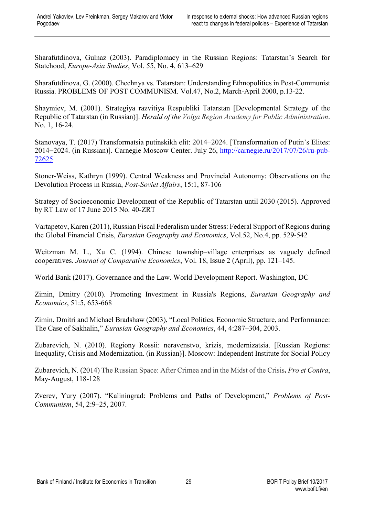Sharafutdinova, Gulnaz (2003). Paradiplomacy in the Russian Regions: Tatarstan's Search for Statehood, *Europe-Asia Studies*, Vol. 55, No. 4, 613–629

Sharafutdinova, G. (2000). Chechnya vs. Tatarstan: Understanding Ethnopolitics in Post-Communist Russia. PROBLEMS OF POST COMMUNISM. Vol.47, No.2, March-April 2000, p.13-22.

Shaymiev, M. (2001). Strategiya razvitiya Respubliki Tatarstan [Developmental Strategy of the Republic of Tatarstan (in Russian)]. *Herald of the Volga Region Academy for Public Administration*. No. 1, 16-24.

Stanovaya, T. (2017) Transformatsia putinskikh elit: 2014−2024. [Transformation of Putin's Elites: 2014−2024. (in Russian)]. Carnegie Moscow Center. July 26, [http://carnegie.ru/2017/07/26/ru-pub-](http://carnegie.ru/2017/07/26/ru-pub-72625)[72625](http://carnegie.ru/2017/07/26/ru-pub-72625)

Stoner-Weiss, Kathryn (1999). Central Weakness and Provincial Autonomy: Observations on the Devolution Process in Russia, *Post-Soviet Affairs*, 15:1, 87-106

Strategy of Socioeconomic Development of the Republic of Tatarstan until 2030 (2015). Approved by RT Law of 17 June 2015 No. 40-ZRT

Vartapetov, Karen (2011), Russian Fiscal Federalism under Stress: Federal Support of Regions during the Global Financial Crisis, *Eurasian Geography and Economics*, Vol.52, No.4, pp. 529-542

Weitzman M. L., Xu C. (1994). Chinese township–village enterprises as vaguely defined cooperatives. *[Journal of Comparative Economics](http://www.sciencedirect.com/science/journal/01475967)*, [Vol. 18, Issue 2](http://www.sciencedirect.com/science/journal/01475967/18/2) (April), pp. 121–145.

World Bank (2017). Governance and the Law. World Development Report. Washington, DC

Zimin, Dmitry (2010). Promoting Investment in Russia's Regions, *Eurasian Geography and Economics*, 51:5, 653-668

Zimin, Dmitri and Michael Bradshaw (2003), "Local Politics, Economic Structure, and Performance: The Case of Sakhalin," *Eurasian Geography and Economics*, 44, 4:287–304, 2003.

Zubarevich, N. (2010). Regiony Rossii: neravenstvo, krizis, modernizatsia. [Russian Regions: Inequality, Crisis and Modernization. (in Russian)]. Moscow: Independent Institute for Social Policy

Zubarevich, N. (2014) The Russian Space: After Crimea and in the Midst of the Crisis**.** *Pro et Contra*, May-August, 118-128

Zverev, Yury (2007). "Kaliningrad: Problems and Paths of Development," *Problems of Post-Communism*, 54, 2:9–25, 2007.